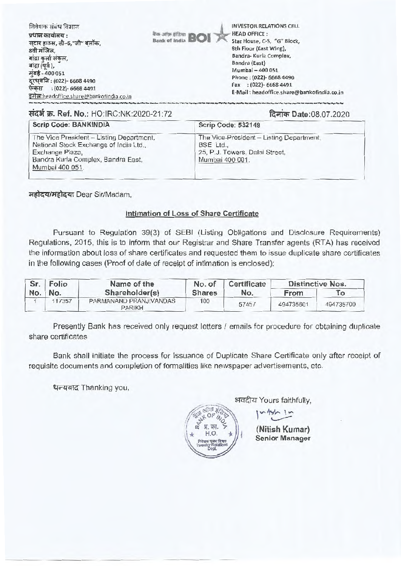| <b>HEAD OFFICE:</b><br>Star House, C-5, "G" Block, |
|----------------------------------------------------|
| 8th Floor (East Wing),                             |
| Bandra- Kurla Complex,                             |
| Bandra (East)                                      |
| Mumbai - 400 051                                   |
| Phone: (022)- 6668 4490                            |
| Fax : (022)-6668 4491                              |
| E-Mail: headoffice.share@bankofindia.co.in         |
|                                                    |

# संदर्भ क्र. Ref. No.: HO:IRC:NK:2020-21:72

दिनांक Date:08.07.2020

| <b>Scrip Code: BANKINDIA</b>                                                                                                                                   | Scrip Code: 532149                                                                                         |  |  |
|----------------------------------------------------------------------------------------------------------------------------------------------------------------|------------------------------------------------------------------------------------------------------------|--|--|
| The Vice President - Listing Department,<br>National Stock Exchange of India Ltd.,<br>Exchange Plaza,<br>Bandra Kurla Complex, Bandra East,<br>Mumbai 400 051. | The Vice-President - Listing Department,<br>BSE Ltd.,<br>25, P.J. Towers, Dalal Street,<br>Mumbai 400 001. |  |  |

महोदय/महोदया Dear Sir/Madam,

## Intimation of Loss of Share Certificate

Pursuant to Regulation 39(3) of SEBI (Listing Obligations and Disclosure Requirements) Regulations, 2015, this is to inform that our Registrar and Share Transfer agents (RTA) has received the information about loss of share certificates and requested them to issue duplicate share certificates in the following cases (Proof of date of receipt of intimation is enclosed):

|     | Sr. Folio | Name of the                             | No. of        | Certificate | <b>Distinctive Nos.</b> |           |
|-----|-----------|-----------------------------------------|---------------|-------------|-------------------------|-----------|
| No. | No.       | Shareholder(s)                          | <b>Shares</b> | No.         | From                    | To        |
|     | 117357    | PARMANAND PRANJIVANDAS<br><b>PARIKH</b> | 100           | 57457       | 494735601               | 494735700 |

Presently Bank has received only request letters / emails for procedure for obtaining duplicate share certificates

Bank shall initiate the process for Issuance of Duplicate Share Certificate only after receipt of requisite documents and completion of formalities like newspaper advertisements, etc.

धन्यवाद Thanking you,



अवदीय Yours faithfully,

(Nitish Kumar) **Senior Manager** 

 $Arh$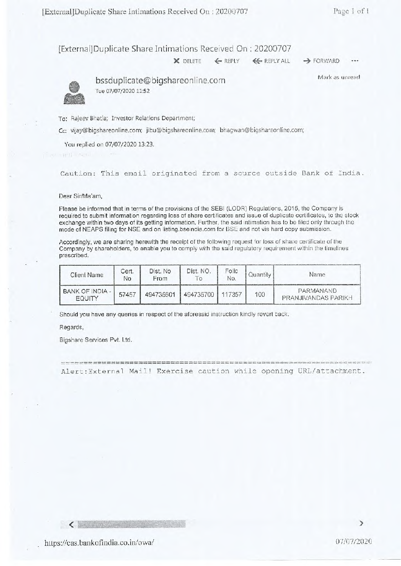[External] Duplicate Share Intimations Received On : 20200707

X DELETE  $\leftarrow$  REPLY  $\leftarrow$  REPLY ALL  $\rightarrow$  FORWARD

Mark as unread

bssduplicate@bigshareonline.com Tue 07/07/2020 11:52

To: Rajeev Bhatia; Investor Relations Department;

Cc: vijay©bigshareonline.com; jibu@bigshareonline.com; bhagwan@bigshareonline.com;

You replied on 07/07/2020 13:23.

Caution: This email originated from a source outside Bank of India.

Dear Sir/Ma'am,

Please be informed that in terms of the provisions of the SEBI (LODR) Regulations, 2015, the Company is required to submit information regarding loss of share certificates and issue of duplicate certificates, to the stock exchange within two days of its getting information. Further, the said intimation has to be filed only through the mode of NEAPS filing for NSE and on listing.bseindia.com for BSE and not via hard copy submission.

Accordingly, we are sharing herewith the receipt of the following request for loss of share certificate of the Company by shareholders, to enable you to comply with the said regulatory requirement within the timelines prescribed.

| Client Name               | Cert.<br>Nο | Dist. No<br>From | Dist. NO. | Folio<br>No. | Quantity | <b>Name</b>                             |
|---------------------------|-------------|------------------|-----------|--------------|----------|-----------------------------------------|
| BANK OF INDIA -<br>FOUITY | 57457       | 494735601        | 494735700 | 117357       | 100      | PARMANAND<br><b>PRANJIVANDAS PARIKH</b> |

Should you have any queries in respect of the aforesaid instruction kindly revert back.

Regards,

Bigshare Services Pvt. Ltd.

^^ ^ Alert:External Mail! Exercise caution while opening URL/attachment.

 $\langle$  . The same  $\langle$